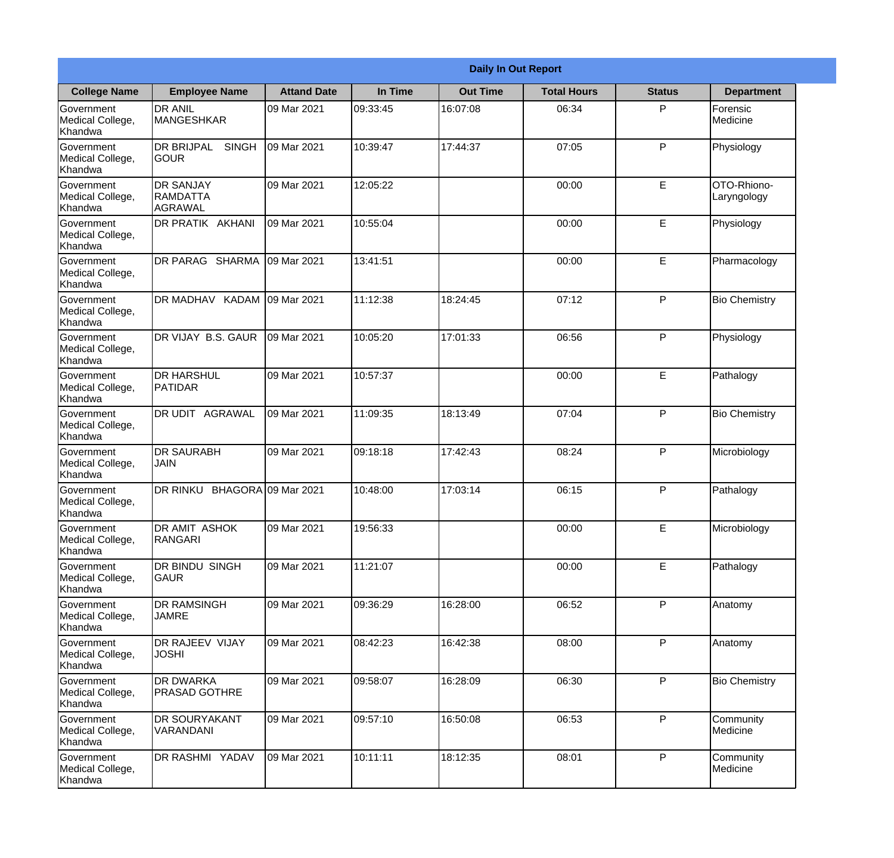|                                                  |                                                        |                     |          | <b>Daily In Out Report</b> |                    |               |                            |
|--------------------------------------------------|--------------------------------------------------------|---------------------|----------|----------------------------|--------------------|---------------|----------------------------|
| <b>College Name</b>                              | <b>Employee Name</b>                                   | <b>Attand Date</b>  | In Time  | <b>Out Time</b>            | <b>Total Hours</b> | <b>Status</b> | <b>Department</b>          |
| Government<br>Medical College,<br>Khandwa        | <b>DR ANIL</b><br><b>MANGESHKAR</b>                    | 09 Mar 2021         | 09:33:45 | 16:07:08                   | 06:34              | P             | Forensic<br>Medicine       |
| Government<br>Medical College,<br>Khandwa        | <b>DR BRIJPAL</b><br><b>SINGH</b><br> GOUR             | 09 Mar 2021         | 10:39:47 | 17:44:37                   | 07:05              | P             | Physiology                 |
| <b>Government</b><br>Medical College,<br>Khandwa | <b>IDR SANJAY</b><br><b>RAMDATTA</b><br><b>AGRAWAL</b> | 09 Mar 2021         | 12:05:22 |                            | 00:00              | E             | OTO-Rhiono-<br>Laryngology |
| Government<br>Medical College,<br>Khandwa        | <b>DR PRATIK AKHANI</b>                                | 09 Mar 2021         | 10:55:04 |                            | 00:00              | E             | Physiology                 |
| Government<br>Medical College,<br>Khandwa        | <b>DR PARAG SHARMA</b>                                 | 09 Mar 2021         | 13:41:51 |                            | 00:00              | E             | Pharmacology               |
| Government<br>Medical College,<br>Khandwa        | DR MADHAV KADAM                                        | 09 Mar 2021         | 11:12:38 | 18:24:45                   | 07:12              | P             | <b>Bio Chemistry</b>       |
| Government<br>Medical College,<br>Khandwa        | <b>IDR VIJAY B.S. GAUR</b>                             | 09 Mar 2021         | 10:05:20 | 17:01:33                   | 06:56              | P             | Physiology                 |
| <b>Government</b><br>Medical College,<br>Khandwa | <b>DR HARSHUL</b><br>PATIDAR                           | 09 Mar 2021         | 10:57:37 |                            | 00:00              | E             | Pathalogy                  |
| Government<br>Medical College,<br>Khandwa        | <b>DR UDIT AGRAWAL</b>                                 | 09 Mar 2021         | 11:09:35 | 18:13:49                   | 07:04              | P             | <b>Bio Chemistry</b>       |
| Government<br>Medical College,<br>Khandwa        | <b>DR SAURABH</b><br><b>JAIN</b>                       | 09 Mar 2021         | 09:18:18 | 17:42:43                   | 08:24              | P             | Microbiology               |
| Government<br>Medical College,<br>Khandwa        | <b>DR RINKU</b>                                        | BHAGORA 09 Mar 2021 | 10:48:00 | 17:03:14                   | 06:15              | $\mathsf{P}$  | Pathalogy                  |
| Government<br>Medical College,<br>Khandwa        | <b>DR AMIT ASHOK</b><br>RANGARI                        | 09 Mar 2021         | 19:56:33 |                            | 00:00              | E             | Microbiology               |
| Government<br>Medical College,<br>Khandwa        | DR BINDU SINGH<br><b>GAUR</b>                          | 09 Mar 2021         | 11:21:07 |                            | 00:00              | E             | Pathalogy                  |
| Government<br>Medical College,<br>Khandwa        | <b>DR RAMSINGH</b><br><b>JAMRE</b>                     | 09 Mar 2021         | 09:36:29 | 16:28:00                   | 06:52              | P             | Anatomy                    |
| Government<br>Medical College,<br>Khandwa        | <b>DR RAJEEV VIJAY</b><br><b>JOSHI</b>                 | 09 Mar 2021         | 08:42:23 | 16:42:38                   | 08:00              | $\mathsf{P}$  | Anatomy                    |
| Government<br>Medical College,<br>Khandwa        | <b>DR DWARKA</b><br><b>PRASAD GOTHRE</b>               | 09 Mar 2021         | 09:58:07 | 16:28:09                   | 06:30              | P             | <b>Bio Chemistry</b>       |
| Government<br>Medical College,<br>Khandwa        | <b>DR SOURYAKANT</b><br>VARANDANI                      | 09 Mar 2021         | 09:57:10 | 16:50:08                   | 06:53              | P             | Community<br>Medicine      |
| Government<br>Medical College,<br>Khandwa        | DR RASHMI YADAV                                        | 09 Mar 2021         | 10:11:11 | 18:12:35                   | 08:01              | P             | Community<br>Medicine      |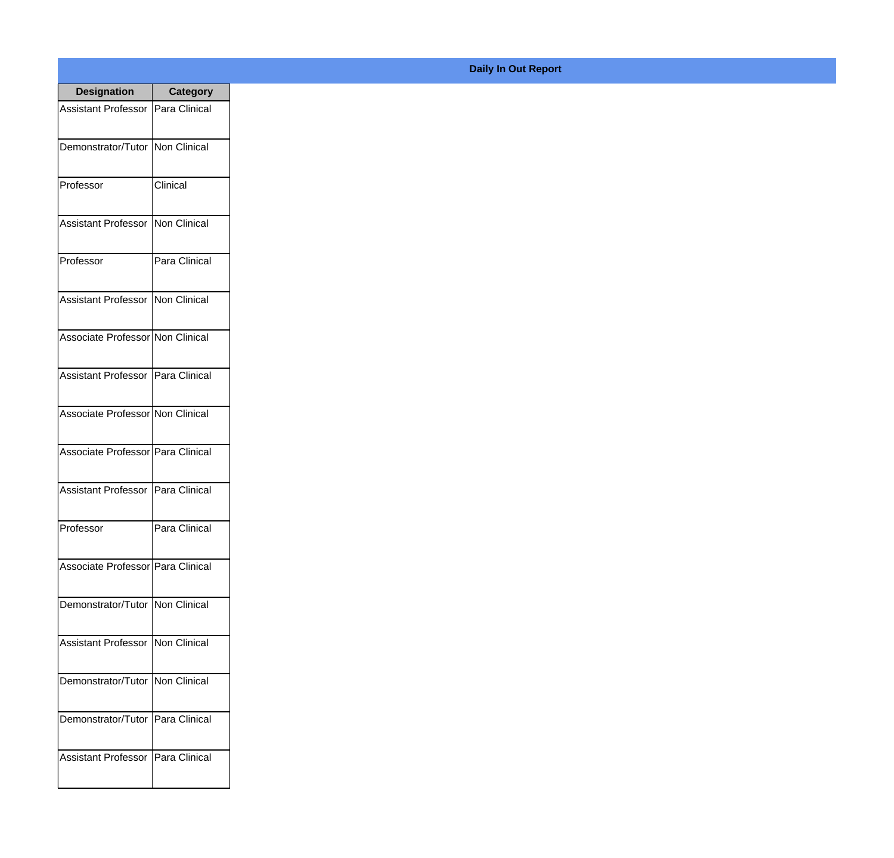| <b>Designation</b>                  | <b>Category</b> |
|-------------------------------------|-----------------|
| Assistant Professor   Para Clinical |                 |
| Demonstrator/Tutor   Non Clinical   |                 |
| Professor                           | Clinical        |
| <b>Assistant Professor</b>          | Non Clinical    |
| Professor                           | Para Clinical   |
| Assistant Professor   Non Clinical  |                 |
| Associate Professor Non Clinical    |                 |
| Assistant Professor   Para Clinical |                 |
| Associate Professor Non Clinical    |                 |
| Associate Professor   Para Clinical |                 |
| <b>Assistant Professor</b>          | Para Clinical   |
| Professor                           | Para Clinical   |
| Associate Professor   Para Clinical |                 |
| Demonstrator/Tutor   Non Clinical   |                 |
| Assistant Professor   Non Clinical  |                 |
| Demonstrator/Tutor   Non Clinical   |                 |
| Demonstrator/Tutor   Para Clinical  |                 |
| Assistant Professor   Para Clinical |                 |

## **Daily In Out Report**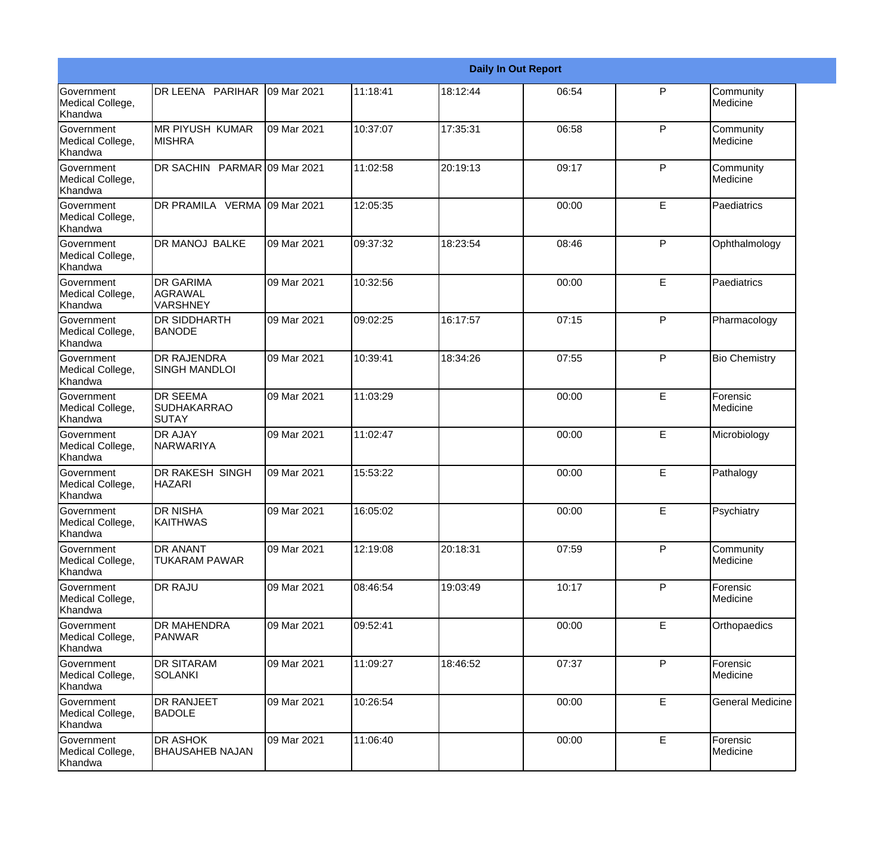|                                                         |                                                       |              |          |          | <b>Daily In Out Report</b> |              |                         |
|---------------------------------------------------------|-------------------------------------------------------|--------------|----------|----------|----------------------------|--------------|-------------------------|
| Government<br>Medical College,<br>Khandwa               | DR LEENA PARIHAR                                      | 09 Mar 2021  | 11:18:41 | 18:12:44 | 06:54                      | P            | Community<br>Medicine   |
| Government<br>Medical College,<br>Khandwa               | <b>MR PIYUSH KUMAR</b><br> MISHRA                     | 09 Mar 2021  | 10:37:07 | 17:35:31 | 06:58                      | $\mathsf{P}$ | Community<br>Medicine   |
| <b>Government</b><br>Medical College,<br>Khandwa        | DR SACHIN PARMAR 09 Mar 2021                          |              | 11:02:58 | 20:19:13 | 09:17                      | P            | Community<br>Medicine   |
| <b>Government</b><br>Medical College,<br>Khandwa        | DR PRAMILA VERMA 09 Mar 2021                          |              | 12:05:35 |          | 00:00                      | E            | Paediatrics             |
| Government<br>Medical College,<br>Khandwa               | DR MANOJ BALKE                                        | 09 Mar 2021  | 09:37:32 | 18:23:54 | 08:46                      | P            | Ophthalmology           |
| <b>Government</b><br>Medical College,<br><b>Khandwa</b> | <b>DR GARIMA</b><br><b>AGRAWAL</b><br><b>VARSHNEY</b> | 09 Mar 2021  | 10:32:56 |          | 00:00                      | E            | Paediatrics             |
| Government<br>Medical College,<br>Khandwa               | <b>DR SIDDHARTH</b><br><b>BANODE</b>                  | 09 Mar 2021  | 09:02:25 | 16:17:57 | 07:15                      | $\mathsf{P}$ | Pharmacology            |
| Government<br>Medical College,<br>Khandwa               | <b>DR RAJENDRA</b><br><b>SINGH MANDLOI</b>            | 09 Mar 2021  | 10:39:41 | 18:34:26 | 07:55                      | $\mathsf{P}$ | <b>Bio Chemistry</b>    |
| Government<br>Medical College,<br>Khandwa               | <b>DR SEEMA</b><br><b>SUDHAKARRAO</b><br>SUTAY        | 09 Mar 2021  | 11:03:29 |          | 00:00                      | E            | Forensic<br>Medicine    |
| <b>Government</b><br>Medical College,<br>Khandwa        | <b>DR AJAY</b><br><b>NARWARIYA</b>                    | 09 Mar 2021  | 11:02:47 |          | 00:00                      | E            | Microbiology            |
| Government<br>Medical College,<br>Khandwa               | <b>DR RAKESH SINGH</b><br><b>HAZARI</b>               | 09 Mar 2021  | 15:53:22 |          | 00:00                      | E            | Pathalogy               |
| Government<br>Medical College,<br>Khandwa               | <b>DR NISHA</b><br><b>KAITHWAS</b>                    | 109 Mar 2021 | 16:05:02 |          | 00:00                      | E            | Psychiatry              |
| Government<br>Medical College,<br>Khandwa               | DR ANANT<br><b>TUKARAM PAWAR</b>                      | 09 Mar 2021  | 12:19:08 | 20:18:31 | 07:59                      | P            | Community<br>Medicine   |
| Government<br>Medical College,<br>Khandwa               | DR RAJU                                               | 09 Mar 2021  | 08:46:54 | 19:03:49 | 10:17                      | P            | Forensic<br>Medicine    |
| Government<br>Medical College,<br>Khandwa               | <b>DR MAHENDRA</b><br>PANWAR                          | 09 Mar 2021  | 09:52:41 |          | 00:00                      | E            | Orthopaedics            |
| Government<br>Medical College,<br>Khandwa               | <b>DR SITARAM</b><br><b>SOLANKI</b>                   | 09 Mar 2021  | 11:09:27 | 18:46:52 | 07:37                      | $\mathsf{P}$ | Forensic<br>Medicine    |
| Government<br>Medical College,<br>Khandwa               | DR RANJEET<br><b>BADOLE</b>                           | 09 Mar 2021  | 10:26:54 |          | 00:00                      | E            | <b>General Medicine</b> |
| Government<br>Medical College,<br>Khandwa               | DR ASHOK<br><b>BHAUSAHEB NAJAN</b>                    | 09 Mar 2021  | 11:06:40 |          | 00:00                      | E            | Forensic<br>Medicine    |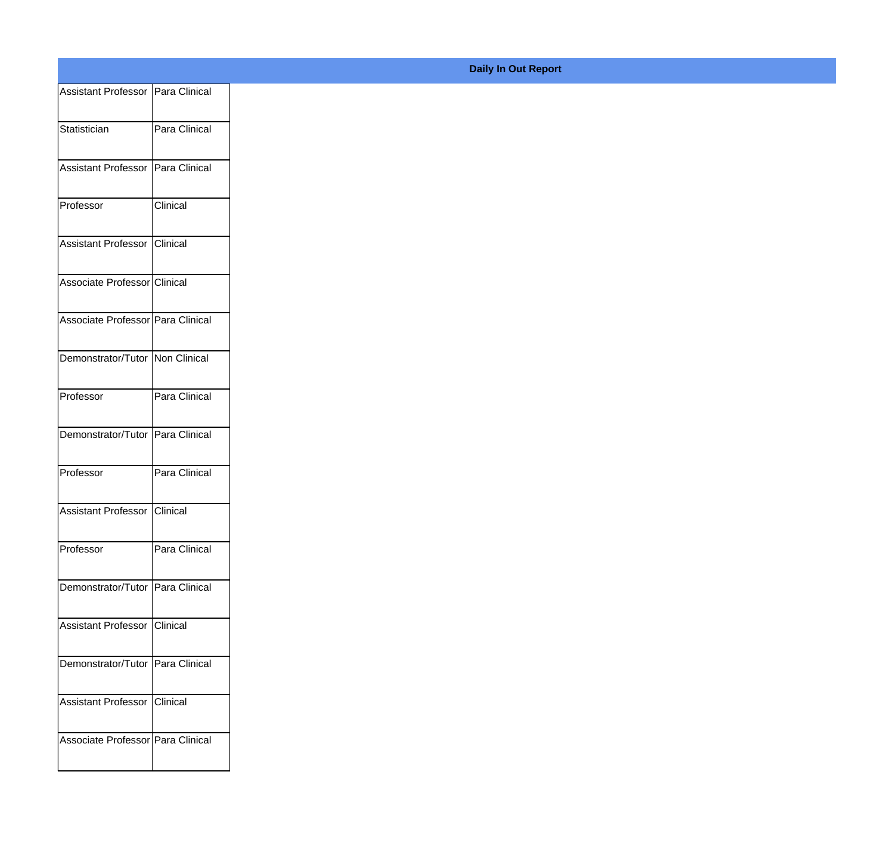| Assistant Professor   Para Clinical<br>Para Clinical<br>Assistant Professor   Para Clinical<br>Clinical |
|---------------------------------------------------------------------------------------------------------|
|                                                                                                         |
|                                                                                                         |
|                                                                                                         |
|                                                                                                         |
|                                                                                                         |
|                                                                                                         |
| Assistant Professor Clinical                                                                            |
| Associate Professor Clinical                                                                            |
|                                                                                                         |
| Associate Professor Para Clinical                                                                       |
| Demonstrator/Tutor Non Clinical                                                                         |
|                                                                                                         |
| Para Clinical                                                                                           |
| Demonstrator/Tutor Para Clinical                                                                        |
| Para Clinical                                                                                           |
|                                                                                                         |
| Assistant Professor Clinical                                                                            |
| Para Clinical                                                                                           |
|                                                                                                         |
| Demonstrator/Tutor Para Clinical                                                                        |
| Assistant Professor Clinical                                                                            |
|                                                                                                         |
| Demonstrator/Tutor   Para Clinical                                                                      |
| Assistant Professor Clinical                                                                            |
|                                                                                                         |
| Associate Professor Para Clinical                                                                       |
|                                                                                                         |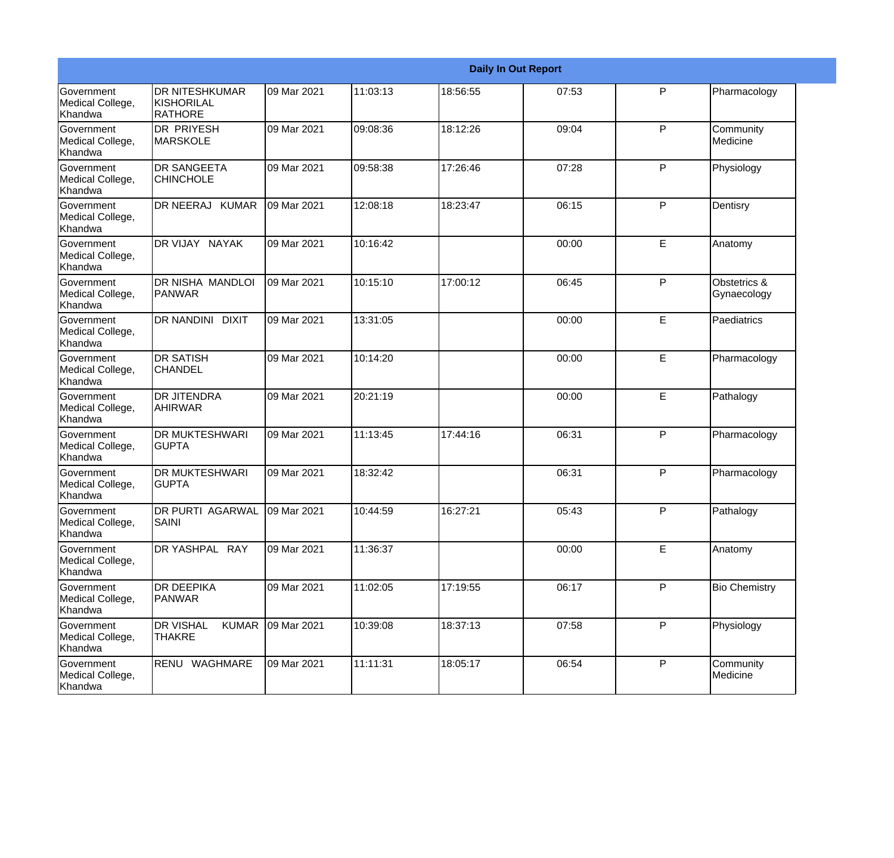|                                                  |                                                   |             |          |          | <b>Daily In Out Report</b> |   |                             |
|--------------------------------------------------|---------------------------------------------------|-------------|----------|----------|----------------------------|---|-----------------------------|
| Government<br>Medical College,<br>Khandwa        | <b>DR NITESHKUMAR</b><br>KISHORILAL<br>RATHORE    | 09 Mar 2021 | 11:03:13 | 18:56:55 | 07:53                      | P | Pharmacology                |
| Government<br>Medical College,<br>Khandwa        | <b>DR PRIYESH</b><br><b>MARSKOLE</b>              | 09 Mar 2021 | 09:08:36 | 18:12:26 | 09:04                      | P | Community<br>Medicine       |
| Government<br>Medical College,<br>Khandwa        | <b>DR SANGEETA</b><br><b>CHINCHOLE</b>            | 09 Mar 2021 | 09:58:38 | 17:26:46 | 07:28                      | P | Physiology                  |
| Government<br>Medical College,<br>Khandwa        | DR NEERAJ KUMAR                                   | 09 Mar 2021 | 12:08:18 | 18:23:47 | 06:15                      | P | Dentisry                    |
| Government<br>Medical College,<br>Khandwa        | DR VIJAY NAYAK                                    | 09 Mar 2021 | 10:16:42 |          | 00:00                      | E | Anatomy                     |
| Government<br>Medical College,<br>Khandwa        | <b>DR NISHA MANDLOI</b><br>PANWAR                 | 09 Mar 2021 | 10:15:10 | 17:00:12 | 06:45                      | P | Obstetrics &<br>Gynaecology |
| <b>Government</b><br>Medical College,<br>Khandwa | DR NANDINI DIXIT                                  | 09 Mar 2021 | 13:31:05 |          | 00:00                      | E | Paediatrics                 |
| Government<br>Medical College,<br>Khandwa        | <b>DR SATISH</b><br><b>CHANDEL</b>                | 09 Mar 2021 | 10:14:20 |          | 00:00                      | E | Pharmacology                |
| Government<br>Medical College,<br>Khandwa        | <b>DR JITENDRA</b><br><b>AHIRWAR</b>              | 09 Mar 2021 | 20:21:19 |          | 00:00                      | E | Pathalogy                   |
| <b>Government</b><br>Medical College,<br>Khandwa | <b>DR MUKTESHWARI</b><br><b>GUPTA</b>             | 09 Mar 2021 | 11:13:45 | 17:44:16 | 06:31                      | P | Pharmacology                |
| Government<br>Medical College,<br>Khandwa        | <b>DR MUKTESHWARI</b><br><b>GUPTA</b>             | 09 Mar 2021 | 18:32:42 |          | 06:31                      | P | Pharmacology                |
| Government<br>Medical College,<br>Khandwa        | DR PURTI AGARWAL<br>SAINI                         | 09 Mar 2021 | 10:44:59 | 16:27:21 | 05:43                      | P | Pathalogy                   |
| Government<br>Medical College,<br>Khandwa        | DR YASHPAL RAY                                    | 09 Mar 2021 | 11:36:37 |          | 00:00                      | E | Anatomy                     |
| Government<br>Medical College,<br>Khandwa        | <b>DR DEEPIKA</b><br>PANWAR                       | 09 Mar 2021 | 11:02:05 | 17:19:55 | 06:17                      | P | <b>Bio Chemistry</b>        |
| Government<br>Medical College,<br>Khandwa        | <b>DR VISHAL</b><br><b>KUMAR</b><br><b>THAKRE</b> | 09 Mar 2021 | 10:39:08 | 18:37:13 | 07:58                      | P | Physiology                  |
| Government<br>Medical College,<br>Khandwa        | RENU WAGHMARE                                     | 09 Mar 2021 | 11:11:31 | 18:05:17 | 06:54                      | P | Community<br>Medicine       |